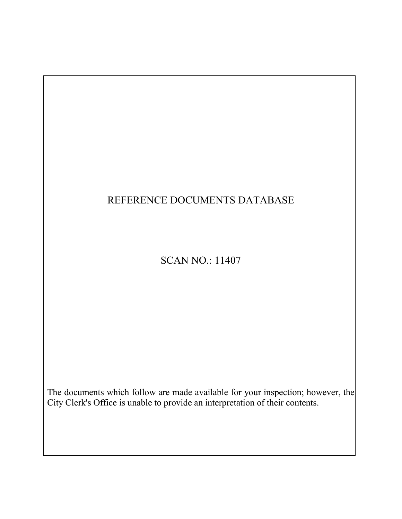# REFERENCE DOCUMENTS DATABASE

# SCAN NO.: 11407

The documents which follow are made available for your inspection; however, the City Clerk's Office is unable to provide an interpretation of their contents.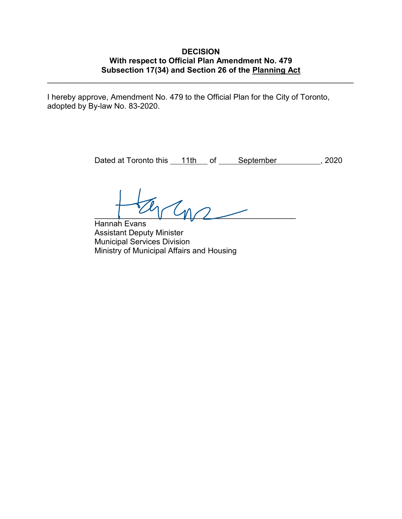# **DECISION With respect to Official Plan Amendment No. 479 Subsection 17(34) and Section 26 of the Planning Act**

\_\_\_\_\_\_\_\_\_\_\_\_\_\_\_\_\_\_\_\_\_\_\_\_\_\_\_\_\_\_\_\_\_\_\_\_\_\_\_\_\_\_\_\_\_\_\_\_\_\_\_\_\_\_\_\_\_\_\_\_\_\_\_\_\_\_\_\_\_\_

I hereby approve, Amendment No. 479 to the Official Plan for the City of Toronto, adopted by By-law No. 83-2020.

Dated at Toronto this \_\_11th \_\_ of \_\_\_\_\_ September \_\_\_\_\_\_\_\_\_\_, 2020

 $\epsilon$ 

Hannah Evans Assistant Deputy Minister Municipal Services Division Ministry of Municipal Affairs and Housing